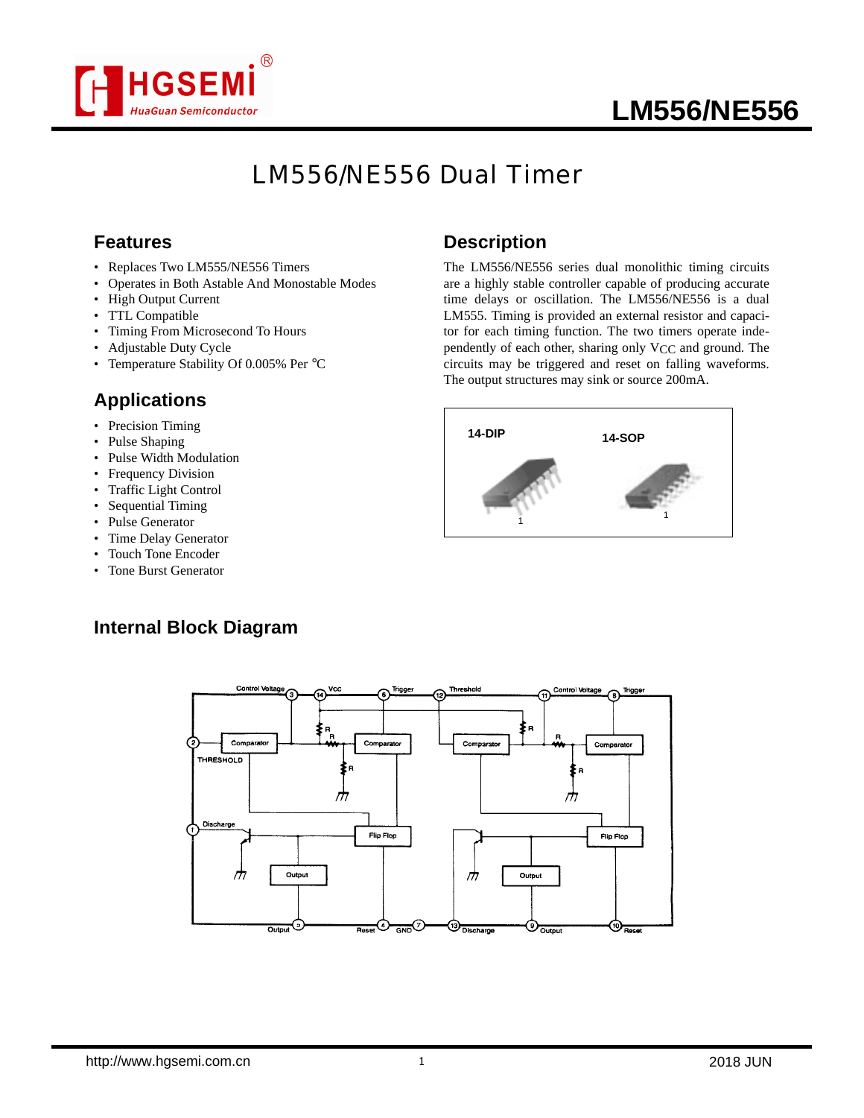

# **LM556/NE556**

### LM556/NE556 Dual Timer

#### **Features**

- Replaces Two LM555/NE556 Timers
- Operates in Both Astable And Monostable Modes
- High Output Current
- TTL Compatible
- Timing From Microsecond To Hours
- Adjustable Duty Cycle
- Temperature Stability Of 0.005% Per °C

#### **Applications**

- Precision Timing
- Pulse Shaping
- Pulse Width Modulation
- Frequency Division
- Traffic Light Control
- Sequential Timing
- Pulse Generator
- Time Delay Generator
- Touch Tone Encoder
- Tone Burst Generator

# **Internal Block Diagram**

#### **Description**

The LM556/NE556 series dual monolithic timing circuits are a highly stable controller capable of producing accurate time delays or oscillation. The LM556/NE556 is a dual LM555. Timing is provided an external resistor and capacitor for each timing function. The two timers operate independently of each other, sharing only VCC and ground. The circuits may be triggered and reset on falling waveforms. The output structures may sink or source 200mA.



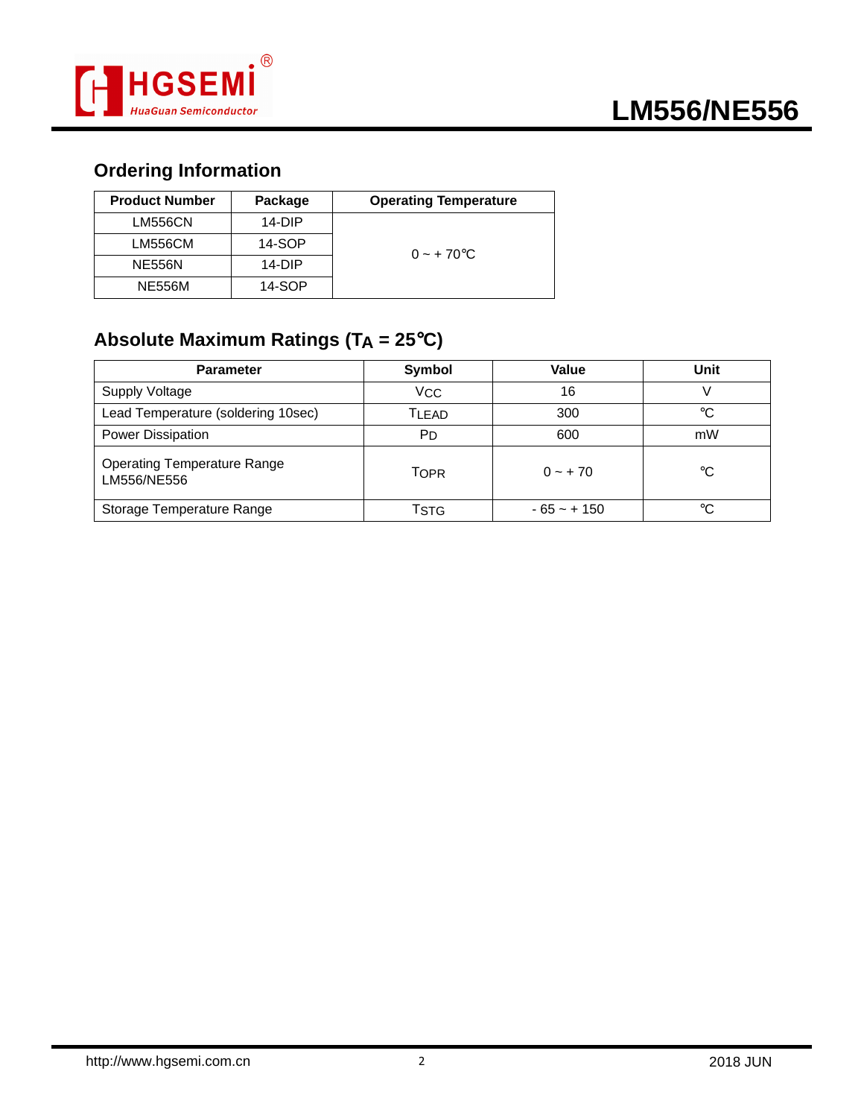

#### **Ordering Information**

| <b>Product Number</b> | Package  | <b>Operating Temperature</b> |
|-----------------------|----------|------------------------------|
| <b>LM556CN</b>        | $14-DIP$ |                              |
| LM556CM               | 14-SOP   | $0 - +70$ °C                 |
| <b>NE556N</b>         | $14-DIP$ |                              |
| <b>NE556M</b>         | 14-SOP   |                              |

#### **Absolute Maximum Ratings (TA = 25**°**C)**

| <b>Parameter</b>                                  | Symbol                      | Value         | Unit |  |
|---------------------------------------------------|-----------------------------|---------------|------|--|
| Supply Voltage                                    | <b>V<sub>CC</sub></b><br>16 |               | V    |  |
| Lead Temperature (soldering 10sec)                | 300<br>TI FAD.              |               | °C   |  |
| Power Dissipation                                 | P <sub>D</sub>              | 600           | mW   |  |
| <b>Operating Temperature Range</b><br>LM556/NE556 | $0 - +70$<br>TOPR           |               | °C   |  |
| Storage Temperature Range                         | TSTG                        | $-65 - + 150$ | °C   |  |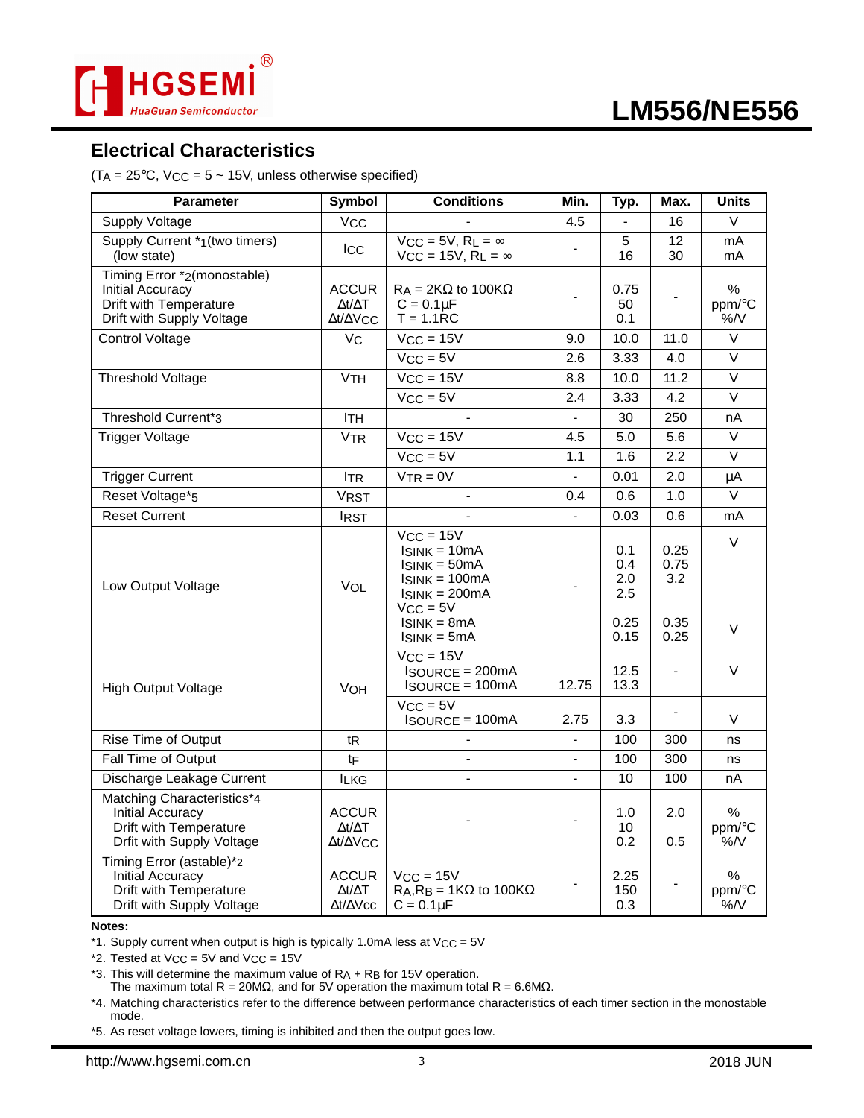

## **LM556/NE556**

#### **Electrical Characteristics**

 $(T_A = 25^{\circ}C, VCC = 5 \sim 15V,$  unless otherwise specified)

| <b>Parameter</b>                                                                                           | <b>Symbol</b>                                                 | <b>Conditions</b>                                                                                                                     | Min.                         | Typ.                                     | Max.                                | <b>Units</b>              |
|------------------------------------------------------------------------------------------------------------|---------------------------------------------------------------|---------------------------------------------------------------------------------------------------------------------------------------|------------------------------|------------------------------------------|-------------------------------------|---------------------------|
| <b>Supply Voltage</b>                                                                                      | <b>V<sub>CC</sub></b>                                         |                                                                                                                                       | 4.5                          |                                          | 16                                  | V                         |
| Supply Current *1(two timers)<br>(low state)                                                               | <b>ICC</b>                                                    | $V_{CC} = 5V$ , $R_L = \infty$<br>$VCC = 15V, RL = \infty$                                                                            | ä,                           | 5<br>16                                  | 12<br>30                            | mA<br>mA                  |
| Timing Error *2(monostable)<br>Initial Accuracy<br>Drift with Temperature<br>Drift with Supply Voltage     | <b>ACCUR</b><br>$\Delta t/\Delta T$<br>Δt/ΔVCC                | $R_A = 2K\Omega$ to 100K $\Omega$<br>$C = 0.1 \mu F$<br>$T = 1.1$ RC                                                                  |                              | 0.75<br>50<br>0.1                        |                                     | $\%$<br>ppm/°C<br>$\%$ /V |
| <b>Control Voltage</b>                                                                                     | <b>V<sub>C</sub></b>                                          | $V_{CC} = 15V$                                                                                                                        | 9.0                          | 10.0                                     | 11.0                                | $\overline{\vee}$         |
|                                                                                                            |                                                               | $V_{CC} = 5V$                                                                                                                         | 2.6                          | 3.33                                     | 4.0                                 | $\overline{\vee}$         |
| <b>Threshold Voltage</b>                                                                                   | <b>V<sub>TH</sub></b>                                         | $V_{CC} = 15V$                                                                                                                        | 8.8                          | 10.0                                     | 11.2                                | $\overline{\vee}$         |
|                                                                                                            |                                                               | $VCC = 5V$                                                                                                                            | 2.4                          | 3.33                                     | 4.2                                 | V                         |
| Threshold Current*3                                                                                        | ITH                                                           |                                                                                                                                       | $\blacksquare$               | 30                                       | 250                                 | nA                        |
| Trigger Voltage                                                                                            | <b>VTR</b>                                                    | $V_{CC} = 15V$                                                                                                                        | 4.5                          | 5.0                                      | 5.6                                 | V                         |
|                                                                                                            |                                                               | $V_{CC} = 5V$                                                                                                                         | 1.1                          | 1.6                                      | 2.2                                 | V                         |
| <b>Trigger Current</b>                                                                                     | <b>ITR</b>                                                    | $VTR = 0V$                                                                                                                            | $\blacksquare$               | 0.01                                     | 2.0                                 | μA                        |
| Reset Voltage*5                                                                                            | <b>VRST</b>                                                   | $\blacksquare$                                                                                                                        | 0.4                          | 0.6                                      | 1.0                                 | $\vee$                    |
| <b>Reset Current</b>                                                                                       | <b>IRST</b>                                                   |                                                                                                                                       | $\blacksquare$               | 0.03                                     | 0.6                                 | mA                        |
| Low Output Voltage                                                                                         | VOL                                                           | $VCC = 15V$<br>$ISINK = 10mA$<br>$IsINK = 50mA$<br>$ISINK = 100mA$<br>$ISINK = 200mA$<br>$VCC = 5V$<br>$ISINK = 8mA$<br>$ISINK = 5mA$ | ÷,                           | 0.1<br>0.4<br>2.0<br>2.5<br>0.25<br>0.15 | 0.25<br>0.75<br>3.2<br>0.35<br>0.25 | $\vee$<br>$\vee$          |
| <b>High Output Voltage</b>                                                                                 | <b>VOH</b>                                                    | $VCC = 15V$<br><b>ISOURCE = 200mA</b><br><b>ISOURCE = 100mA</b><br>$VCC = 5V$                                                         | 12.75                        | 12.5<br>13.3                             |                                     | V                         |
|                                                                                                            |                                                               | $ISOURCE = 100mA$                                                                                                                     | 2.75                         | 3.3                                      |                                     | V                         |
| Rise Time of Output                                                                                        | t <sub>R</sub>                                                |                                                                                                                                       | $\qquad \qquad \blacksquare$ | 100                                      | 300                                 | ns                        |
| Fall Time of Output                                                                                        | tF                                                            |                                                                                                                                       | $\blacksquare$               | 100                                      | 300                                 | ns                        |
| Discharge Leakage Current                                                                                  | <b>ILKG</b>                                                   | ä,                                                                                                                                    | ä,                           | 10                                       | 100                                 | nA                        |
| Matching Characteristics*4<br>Initial Accuracy<br>Drift with Temperature<br>Drfit with Supply Voltage      | <b>ACCUR</b><br>$\Delta t/\Delta T$<br>$\Delta t/\Delta V$ CC |                                                                                                                                       |                              | 1.0<br>10<br>0.2                         | 2.0<br>0.5                          | %<br>ppm/°C<br>$\%$ /V    |
| Timing Error (astable)*2<br>Initial Accuracy<br><b>Drift with Temperature</b><br>Drift with Supply Voltage | <b>ACCUR</b><br>$\Delta t/\Delta T$<br>$\Delta t/\Delta V$ cc | $V_{CC} = 15V$<br>$RA, RB = 1K\Omega$ to $100K\Omega$<br>$C = 0.1 \mu F$                                                              |                              | 2.25<br>150<br>0.3                       |                                     | $\%$<br>ppm/°C<br>$\%$ /V |

**Notes:**

\*1. Supply current when output is high is typically 1.0mA less at  $V_{CC} = 5V$ 

 $*2$ . Tested at V<sub>CC</sub> = 5V and V<sub>CC</sub> = 15V

\*3. This will determine the maximum value of RA + RB for 15V operation.

The maximum total R =  $20M\Omega$ , and for 5V operation the maximum total R = 6.6M $\Omega$ .

\*4. Matching characteristics refer to the difference between performance characteristics of each timer section in the monostable mode.

\*5. As reset voltage lowers, timing is inhibited and then the output goes low.